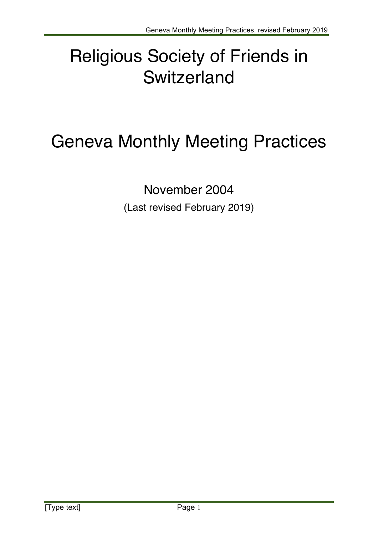# Religious Society of Friends in **Switzerland**

# Geneva Monthly Meeting Practices

November 2004 (Last revised February 2019)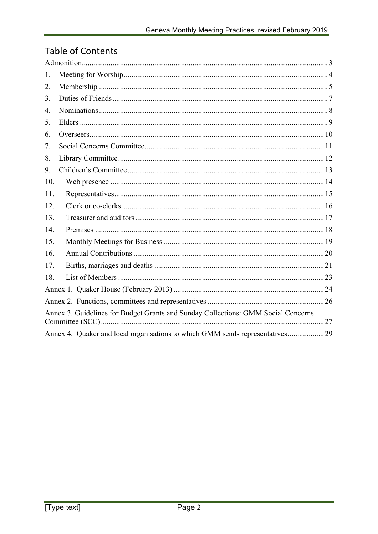### **Table of Contents**

| 1.                                                                                |  |  |
|-----------------------------------------------------------------------------------|--|--|
| 2.                                                                                |  |  |
| 3.                                                                                |  |  |
| 4.                                                                                |  |  |
| 5.                                                                                |  |  |
| 6.                                                                                |  |  |
| 7.                                                                                |  |  |
| 8.                                                                                |  |  |
| 9.                                                                                |  |  |
| 10.                                                                               |  |  |
| 11.                                                                               |  |  |
| 12.                                                                               |  |  |
| 13.                                                                               |  |  |
| 14.                                                                               |  |  |
| 15.                                                                               |  |  |
| 16.                                                                               |  |  |
| 17.                                                                               |  |  |
| 18.                                                                               |  |  |
|                                                                                   |  |  |
|                                                                                   |  |  |
| Annex 3. Guidelines for Budget Grants and Sunday Collections: GMM Social Concerns |  |  |
|                                                                                   |  |  |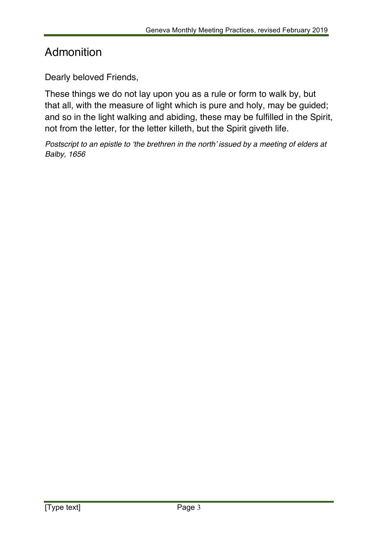## Admonition

Dearly beloved Friends,

These things we do not lay upon you as a rule or form to walk by, but that all, with the measure of light which is pure and holy, may be guided; and so in the light walking and abiding, these may be fulfilled in the Spirit, not from the letter, for the letter killeth, but the Spirit giveth life.

*Postscript to an epistle to 'the brethren in the north' issued by a meeting of elders at Balby, 1656*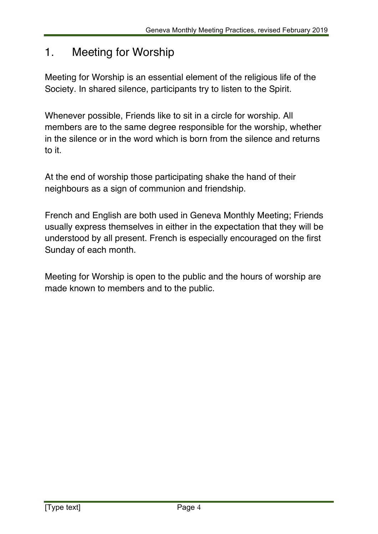### 1. Meeting for Worship

Meeting for Worship is an essential element of the religious life of the Society. In shared silence, participants try to listen to the Spirit.

Whenever possible, Friends like to sit in a circle for worship. All members are to the same degree responsible for the worship, whether in the silence or in the word which is born from the silence and returns to it.

At the end of worship those participating shake the hand of their neighbours as a sign of communion and friendship.

French and English are both used in Geneva Monthly Meeting; Friends usually express themselves in either in the expectation that they will be understood by all present. French is especially encouraged on the first Sunday of each month.

Meeting for Worship is open to the public and the hours of worship are made known to members and to the public.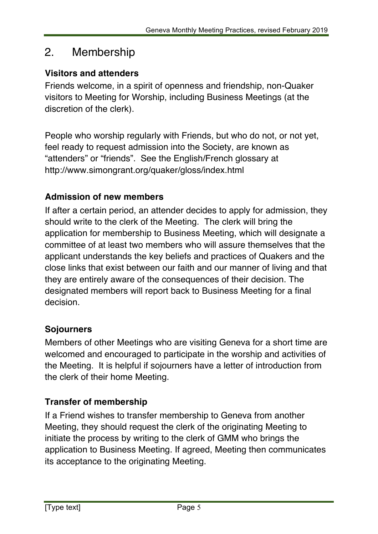### 2. Membership

### **Visitors and attenders**

Friends welcome, in a spirit of openness and friendship, non-Quaker visitors to Meeting for Worship, including Business Meetings (at the discretion of the clerk).

People who worship regularly with Friends, but who do not, or not yet, feel ready to request admission into the Society, are known as "attenders" or "friends". See the English/French glossary at http://www.simongrant.org/quaker/gloss/index.html

### **Admission of new members**

If after a certain period, an attender decides to apply for admission, they should write to the clerk of the Meeting. The clerk will bring the application for membership to Business Meeting, which will designate a committee of at least two members who will assure themselves that the applicant understands the key beliefs and practices of Quakers and the close links that exist between our faith and our manner of living and that they are entirely aware of the consequences of their decision. The designated members will report back to Business Meeting for a final decision.

### **Sojourners**

Members of other Meetings who are visiting Geneva for a short time are welcomed and encouraged to participate in the worship and activities of the Meeting. It is helpful if sojourners have a letter of introduction from the clerk of their home Meeting.

### **Transfer of membership**

If a Friend wishes to transfer membership to Geneva from another Meeting, they should request the clerk of the originating Meeting to initiate the process by writing to the clerk of GMM who brings the application to Business Meeting. If agreed, Meeting then communicates its acceptance to the originating Meeting.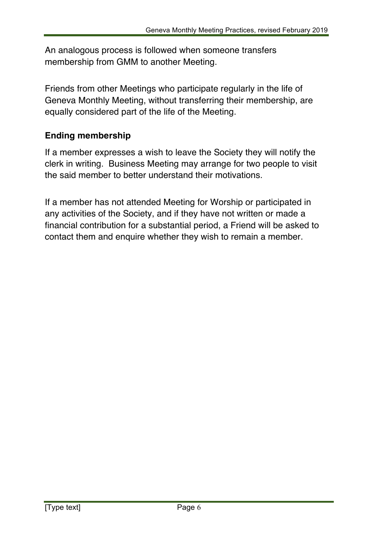An analogous process is followed when someone transfers membership from GMM to another Meeting.

Friends from other Meetings who participate regularly in the life of Geneva Monthly Meeting, without transferring their membership, are equally considered part of the life of the Meeting.

### **Ending membership**

If a member expresses a wish to leave the Society they will notify the clerk in writing. Business Meeting may arrange for two people to visit the said member to better understand their motivations.

If a member has not attended Meeting for Worship or participated in any activities of the Society, and if they have not written or made a financial contribution for a substantial period, a Friend will be asked to contact them and enquire whether they wish to remain a member.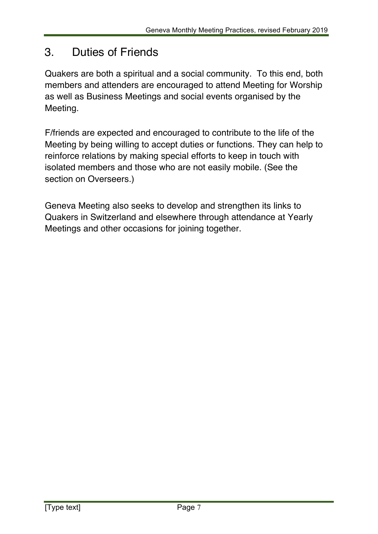# 3. Duties of Friends

Quakers are both a spiritual and a social community. To this end, both members and attenders are encouraged to attend Meeting for Worship as well as Business Meetings and social events organised by the Meeting.

F/friends are expected and encouraged to contribute to the life of the Meeting by being willing to accept duties or functions. They can help to reinforce relations by making special efforts to keep in touch with isolated members and those who are not easily mobile. (See the section on Overseers.)

Geneva Meeting also seeks to develop and strengthen its links to Quakers in Switzerland and elsewhere through attendance at Yearly Meetings and other occasions for joining together.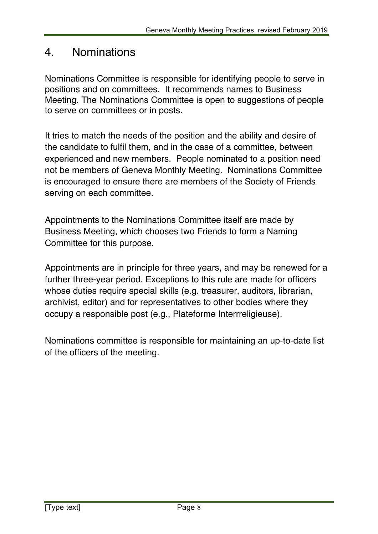### 4. Nominations

Nominations Committee is responsible for identifying people to serve in positions and on committees. It recommends names to Business Meeting. The Nominations Committee is open to suggestions of people to serve on committees or in posts.

It tries to match the needs of the position and the ability and desire of the candidate to fulfil them, and in the case of a committee, between experienced and new members. People nominated to a position need not be members of Geneva Monthly Meeting. Nominations Committee is encouraged to ensure there are members of the Society of Friends serving on each committee.

Appointments to the Nominations Committee itself are made by Business Meeting, which chooses two Friends to form a Naming Committee for this purpose.

Appointments are in principle for three years, and may be renewed for a further three-year period. Exceptions to this rule are made for officers whose duties require special skills (e.g. treasurer, auditors, librarian, archivist, editor) and for representatives to other bodies where they occupy a responsible post (e.g., Plateforme Interrreligieuse).

Nominations committee is responsible for maintaining an up-to-date list of the officers of the meeting.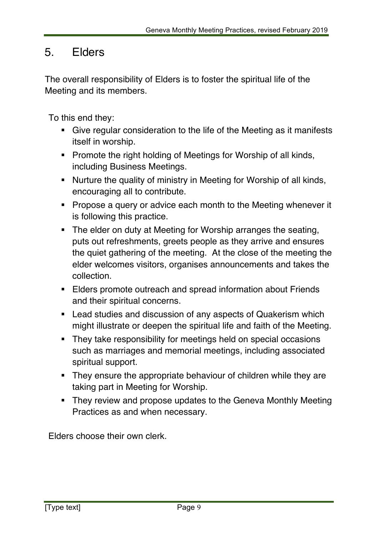### 5. Elders

The overall responsibility of Elders is to foster the spiritual life of the Meeting and its members.

To this end they:

- Give regular consideration to the life of the Meeting as it manifests itself in worship.
- Promote the right holding of Meetings for Worship of all kinds, including Business Meetings.
- Nurture the quality of ministry in Meeting for Worship of all kinds, encouraging all to contribute.
- Propose a query or advice each month to the Meeting whenever it is following this practice.
- The elder on duty at Meeting for Worship arranges the seating, puts out refreshments, greets people as they arrive and ensures the quiet gathering of the meeting. At the close of the meeting the elder welcomes visitors, organises announcements and takes the collection.
- Elders promote outreach and spread information about Friends and their spiritual concerns.
- Lead studies and discussion of any aspects of Quakerism which might illustrate or deepen the spiritual life and faith of the Meeting.
- They take responsibility for meetings held on special occasions such as marriages and memorial meetings, including associated spiritual support.
- They ensure the appropriate behaviour of children while they are taking part in Meeting for Worship.
- They review and propose updates to the Geneva Monthly Meeting Practices as and when necessary.

Elders choose their own clerk.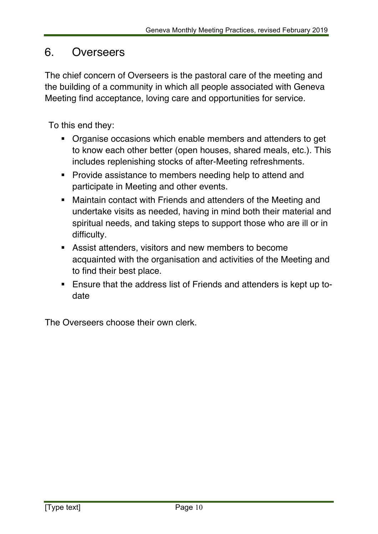### 6. Overseers

The chief concern of Overseers is the pastoral care of the meeting and the building of a community in which all people associated with Geneva Meeting find acceptance, loving care and opportunities for service.

To this end they:

- § Organise occasions which enable members and attenders to get to know each other better (open houses, shared meals, etc.). This includes replenishing stocks of after-Meeting refreshments.
- § Provide assistance to members needing help to attend and participate in Meeting and other events.
- Maintain contact with Friends and attenders of the Meeting and undertake visits as needed, having in mind both their material and spiritual needs, and taking steps to support those who are ill or in difficulty.
- Assist attenders, visitors and new members to become acquainted with the organisation and activities of the Meeting and to find their best place.
- § Ensure that the address list of Friends and attenders is kept up todate

The Overseers choose their own clerk.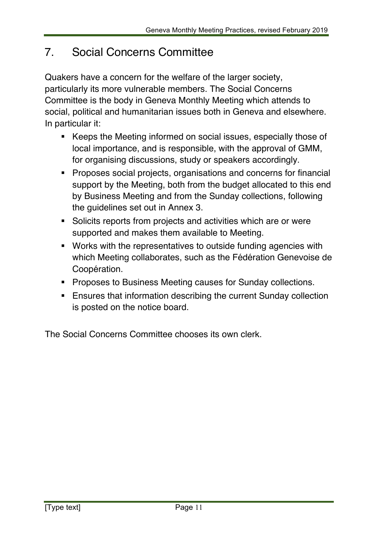# 7. Social Concerns Committee

Quakers have a concern for the welfare of the larger society, particularly its more vulnerable members. The Social Concerns Committee is the body in Geneva Monthly Meeting which attends to social, political and humanitarian issues both in Geneva and elsewhere. In particular it:

- Keeps the Meeting informed on social issues, especially those of local importance, and is responsible, with the approval of GMM, for organising discussions, study or speakers accordingly.
- § Proposes social projects, organisations and concerns for financial support by the Meeting, both from the budget allocated to this end by Business Meeting and from the Sunday collections, following the guidelines set out in Annex 3.
- Solicits reports from projects and activities which are or were supported and makes them available to Meeting.
- § Works with the representatives to outside funding agencies with which Meeting collaborates, such as the Fédération Genevoise de Coopération.
- Proposes to Business Meeting causes for Sunday collections.
- Ensures that information describing the current Sunday collection is posted on the notice board.

The Social Concerns Committee chooses its own clerk.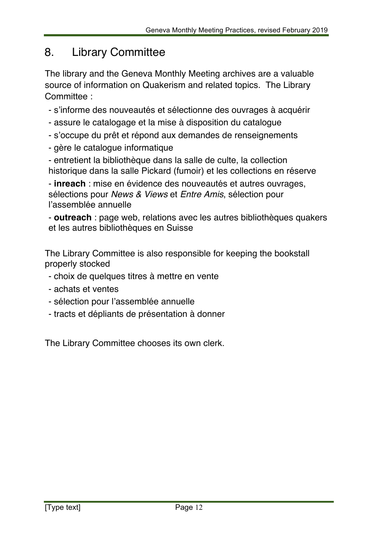## 8. Library Committee

The library and the Geneva Monthly Meeting archives are a valuable source of information on Quakerism and related topics. The Library Committee :

- s'informe des nouveautés et sélectionne des ouvrages à acquérir
- assure le catalogage et la mise à disposition du catalogue
- s'occupe du prêt et répond aux demandes de renseignements
- gère le catalogue informatique

- entretient la bibliothèque dans la salle de culte, la collection historique dans la salle Pickard (fumoir) et les collections en réserve

- **inreach** : mise en évidence des nouveautés et autres ouvrages, sélections pour *News & Views* et *Entre Amis*, sélection pour l'assemblée annuelle

- **outreach** : page web, relations avec les autres bibliothèques quakers et les autres bibliothèques en Suisse

The Library Committee is also responsible for keeping the bookstall properly stocked

- choix de quelques titres à mettre en vente
- achats et ventes
- sélection pour l'assemblée annuelle
- tracts et dépliants de présentation à donner

The Library Committee chooses its own clerk.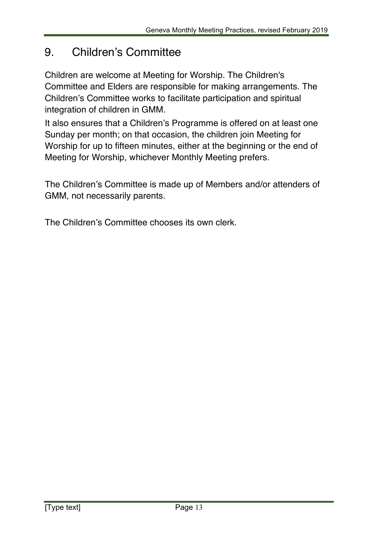# 9. Children's Committee

Children are welcome at Meeting for Worship. The Children's Committee and Elders are responsible for making arrangements. The Children's Committee works to facilitate participation and spiritual integration of children in GMM.

It also ensures that a Children's Programme is offered on at least one Sunday per month; on that occasion, the children join Meeting for Worship for up to fifteen minutes, either at the beginning or the end of Meeting for Worship, whichever Monthly Meeting prefers.

The Children's Committee is made up of Members and/or attenders of GMM, not necessarily parents.

The Children's Committee chooses its own clerk.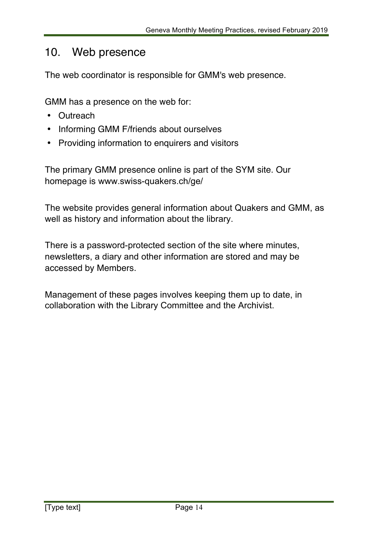### 10. Web presence

The web coordinator is responsible for GMM's web presence.

GMM has a presence on the web for:

- Outreach
- Informing GMM F/friends about ourselves
- Providing information to enquirers and visitors

The primary GMM presence online is part of the SYM site. Our homepage is www.swiss-quakers.ch/ge/

The website provides general information about Quakers and GMM, as well as history and information about the library.

There is a password-protected section of the site where minutes, newsletters, a diary and other information are stored and may be accessed by Members.

Management of these pages involves keeping them up to date, in collaboration with the Library Committee and the Archivist.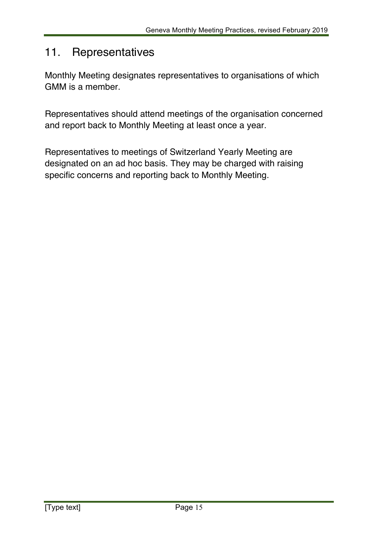### 11. Representatives

Monthly Meeting designates representatives to organisations of which GMM is a member.

Representatives should attend meetings of the organisation concerned and report back to Monthly Meeting at least once a year.

Representatives to meetings of Switzerland Yearly Meeting are designated on an ad hoc basis. They may be charged with raising specific concerns and reporting back to Monthly Meeting.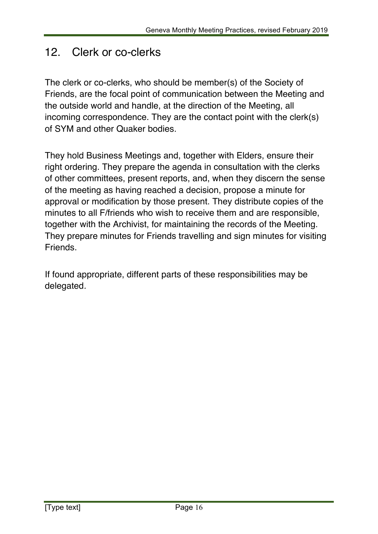### 12. Clerk or co-clerks

The clerk or co-clerks, who should be member(s) of the Society of Friends, are the focal point of communication between the Meeting and the outside world and handle, at the direction of the Meeting, all incoming correspondence. They are the contact point with the clerk(s) of SYM and other Quaker bodies.

They hold Business Meetings and, together with Elders, ensure their right ordering. They prepare the agenda in consultation with the clerks of other committees, present reports, and, when they discern the sense of the meeting as having reached a decision, propose a minute for approval or modification by those present. They distribute copies of the minutes to all F/friends who wish to receive them and are responsible, together with the Archivist, for maintaining the records of the Meeting. They prepare minutes for Friends travelling and sign minutes for visiting Friends.

If found appropriate, different parts of these responsibilities may be delegated*.*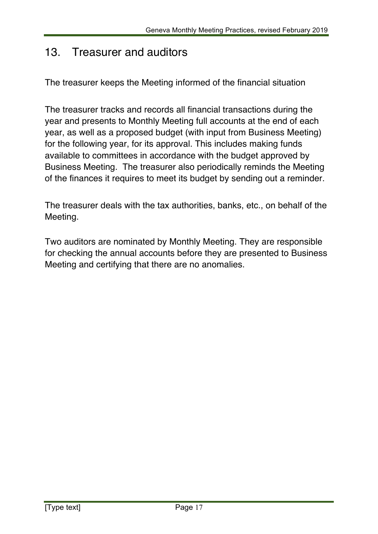### 13. Treasurer and auditors

The treasurer keeps the Meeting informed of the financial situation

The treasurer tracks and records all financial transactions during the year and presents to Monthly Meeting full accounts at the end of each year, as well as a proposed budget (with input from Business Meeting) for the following year, for its approval. This includes making funds available to committees in accordance with the budget approved by Business Meeting. The treasurer also periodically reminds the Meeting of the finances it requires to meet its budget by sending out a reminder.

The treasurer deals with the tax authorities, banks, etc., on behalf of the Meeting.

Two auditors are nominated by Monthly Meeting. They are responsible for checking the annual accounts before they are presented to Business Meeting and certifying that there are no anomalies.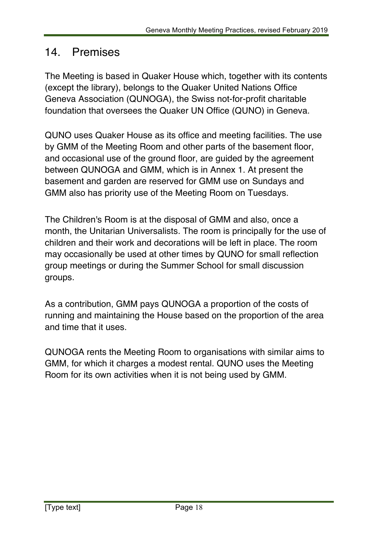## 14. Premises

The Meeting is based in Quaker House which, together with its contents (except the library), belongs to the Quaker United Nations Office Geneva Association (QUNOGA), the Swiss not-for-profit charitable foundation that oversees the Quaker UN Office (QUNO) in Geneva.

QUNO uses Quaker House as its office and meeting facilities. The use by GMM of the Meeting Room and other parts of the basement floor, and occasional use of the ground floor, are guided by the agreement between QUNOGA and GMM, which is in Annex 1. At present the basement and garden are reserved for GMM use on Sundays and GMM also has priority use of the Meeting Room on Tuesdays.

The Children's Room is at the disposal of GMM and also, once a month, the Unitarian Universalists. The room is principally for the use of children and their work and decorations will be left in place. The room may occasionally be used at other times by QUNO for small reflection group meetings or during the Summer School for small discussion groups.

As a contribution, GMM pays QUNOGA a proportion of the costs of running and maintaining the House based on the proportion of the area and time that it uses.

QUNOGA rents the Meeting Room to organisations with similar aims to GMM, for which it charges a modest rental. QUNO uses the Meeting Room for its own activities when it is not being used by GMM.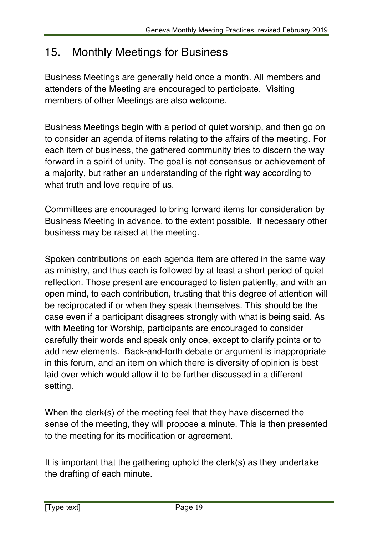# 15. Monthly Meetings for Business

Business Meetings are generally held once a month. All members and attenders of the Meeting are encouraged to participate. Visiting members of other Meetings are also welcome.

Business Meetings begin with a period of quiet worship, and then go on to consider an agenda of items relating to the affairs of the meeting. For each item of business, the gathered community tries to discern the way forward in a spirit of unity. The goal is not consensus or achievement of a majority, but rather an understanding of the right way according to what truth and love require of us.

Committees are encouraged to bring forward items for consideration by Business Meeting in advance, to the extent possible. If necessary other business may be raised at the meeting.

Spoken contributions on each agenda item are offered in the same way as ministry, and thus each is followed by at least a short period of quiet reflection. Those present are encouraged to listen patiently, and with an open mind, to each contribution, trusting that this degree of attention will be reciprocated if or when they speak themselves. This should be the case even if a participant disagrees strongly with what is being said. As with Meeting for Worship, participants are encouraged to consider carefully their words and speak only once, except to clarify points or to add new elements. Back-and-forth debate or argument is inappropriate in this forum, and an item on which there is diversity of opinion is best laid over which would allow it to be further discussed in a different setting.

When the clerk(s) of the meeting feel that they have discerned the sense of the meeting, they will propose a minute. This is then presented to the meeting for its modification or agreement.

It is important that the gathering uphold the clerk(s) as they undertake the drafting of each minute.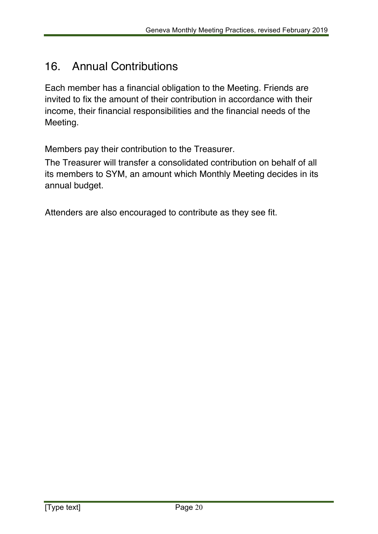## 16. Annual Contributions

Each member has a financial obligation to the Meeting. Friends are invited to fix the amount of their contribution in accordance with their income, their financial responsibilities and the financial needs of the Meeting.

Members pay their contribution to the Treasurer.

The Treasurer will transfer a consolidated contribution on behalf of all its members to SYM, an amount which Monthly Meeting decides in its annual budget.

Attenders are also encouraged to contribute as they see fit.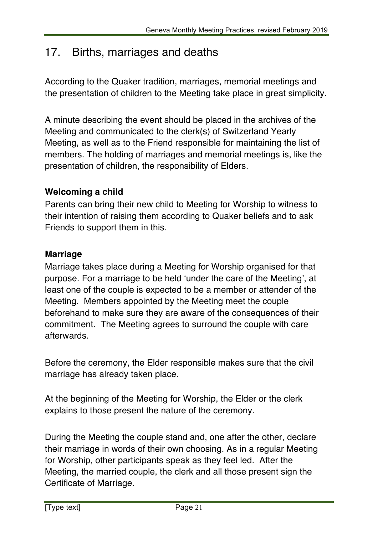# 17. Births, marriages and deaths

According to the Quaker tradition, marriages, memorial meetings and the presentation of children to the Meeting take place in great simplicity.

A minute describing the event should be placed in the archives of the Meeting and communicated to the clerk(s) of Switzerland Yearly Meeting, as well as to the Friend responsible for maintaining the list of members. The holding of marriages and memorial meetings is, like the presentation of children, the responsibility of Elders.

### **Welcoming a child**

Parents can bring their new child to Meeting for Worship to witness to their intention of raising them according to Quaker beliefs and to ask Friends to support them in this.

### **Marriage**

Marriage takes place during a Meeting for Worship organised for that purpose. For a marriage to be held 'under the care of the Meeting', at least one of the couple is expected to be a member or attender of the Meeting. Members appointed by the Meeting meet the couple beforehand to make sure they are aware of the consequences of their commitment. The Meeting agrees to surround the couple with care afterwards.

Before the ceremony, the Elder responsible makes sure that the civil marriage has already taken place.

At the beginning of the Meeting for Worship, the Elder or the clerk explains to those present the nature of the ceremony.

During the Meeting the couple stand and, one after the other, declare their marriage in words of their own choosing. As in a regular Meeting for Worship, other participants speak as they feel led. After the Meeting, the married couple, the clerk and all those present sign the Certificate of Marriage.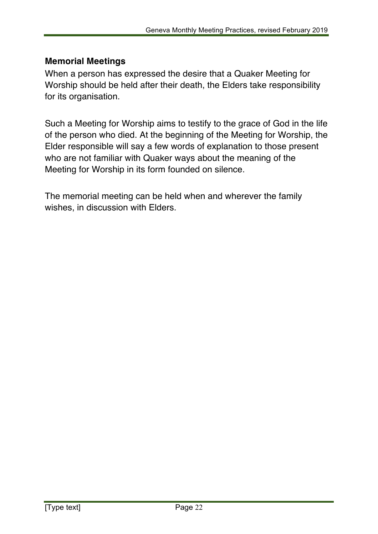### **Memorial Meetings**

When a person has expressed the desire that a Quaker Meeting for Worship should be held after their death, the Elders take responsibility for its organisation.

Such a Meeting for Worship aims to testify to the grace of God in the life of the person who died. At the beginning of the Meeting for Worship, the Elder responsible will say a few words of explanation to those present who are not familiar with Quaker ways about the meaning of the Meeting for Worship in its form founded on silence.

The memorial meeting can be held when and wherever the family wishes, in discussion with Elders.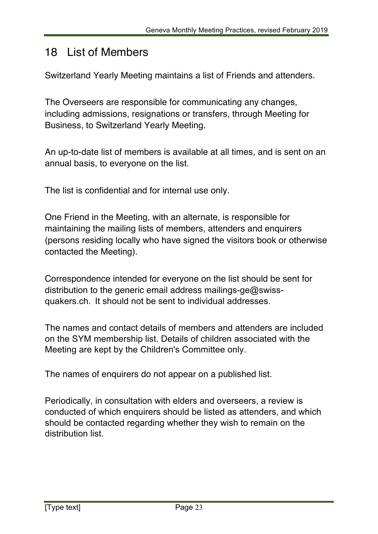## 18 List of Members

Switzerland Yearly Meeting maintains a list of Friends and attenders.

The Overseers are responsible for communicating any changes, including admissions, resignations or transfers, through Meeting for Business, to Switzerland Yearly Meeting.

An up-to-date list of members is available at all times, and is sent on an annual basis, to everyone on the list.

The list is confidential and for internal use only.

One Friend in the Meeting, with an alternate, is responsible for maintaining the mailing lists of members, attenders and enquirers (persons residing locally who have signed the visitors book or otherwise contacted the Meeting).

Correspondence intended for everyone on the list should be sent for distribution to the generic email address mailings-ge@swissquakers.ch. It should not be sent to individual addresses.

The names and contact details of members and attenders are included on the SYM membership list. Details of children associated with the Meeting are kept by the Children's Committee only.

The names of enquirers do not appear on a published list.

Periodically, in consultation with elders and overseers, a review is conducted of which enquirers should be listed as attenders, and which should be contacted regarding whether they wish to remain on the distribution list.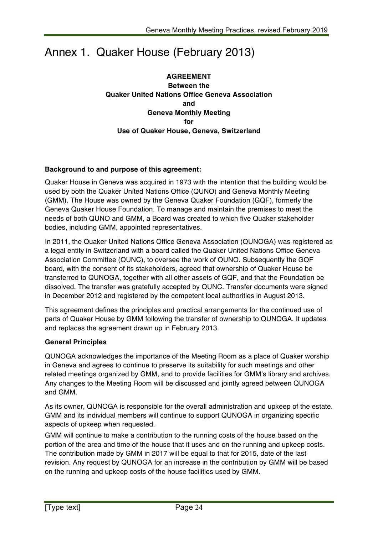# Annex 1. Quaker House (February 2013)

**AGREEMENT Between the Quaker United Nations Office Geneva Association and Geneva Monthly Meeting for Use of Quaker House, Geneva, Switzerland**

#### **Background to and purpose of this agreement:**

Quaker House in Geneva was acquired in 1973 with the intention that the building would be used by both the Quaker United Nations Office (QUNO) and Geneva Monthly Meeting (GMM). The House was owned by the Geneva Quaker Foundation (GQF), formerly the Geneva Quaker House Foundation. To manage and maintain the premises to meet the needs of both QUNO and GMM, a Board was created to which five Quaker stakeholder bodies, including GMM, appointed representatives.

In 2011, the Quaker United Nations Office Geneva Association (QUNOGA) was registered as a legal entity in Switzerland with a board called the Quaker United Nations Office Geneva Association Committee (QUNC), to oversee the work of QUNO. Subsequently the GQF board, with the consent of its stakeholders, agreed that ownership of Quaker House be transferred to QUNOGA, together with all other assets of GQF, and that the Foundation be dissolved. The transfer was gratefully accepted by QUNC. Transfer documents were signed in December 2012 and registered by the competent local authorities in August 2013.

This agreement defines the principles and practical arrangements for the continued use of parts of Quaker House by GMM following the transfer of ownership to QUNOGA. It updates and replaces the agreement drawn up in February 2013.

#### **General Principles**

QUNOGA acknowledges the importance of the Meeting Room as a place of Quaker worship in Geneva and agrees to continue to preserve its suitability for such meetings and other related meetings organized by GMM, and to provide facilities for GMM's library and archives. Any changes to the Meeting Room will be discussed and jointly agreed between QUNOGA and GMM.

As its owner, QUNOGA is responsible for the overall administration and upkeep of the estate. GMM and its individual members will continue to support QUNOGA in organizing specific aspects of upkeep when requested.

GMM will continue to make a contribution to the running costs of the house based on the portion of the area and time of the house that it uses and on the running and upkeep costs. The contribution made by GMM in 2017 will be equal to that for 2015, date of the last revision. Any request by QUNOGA for an increase in the contribution by GMM will be based on the running and upkeep costs of the house facilities used by GMM.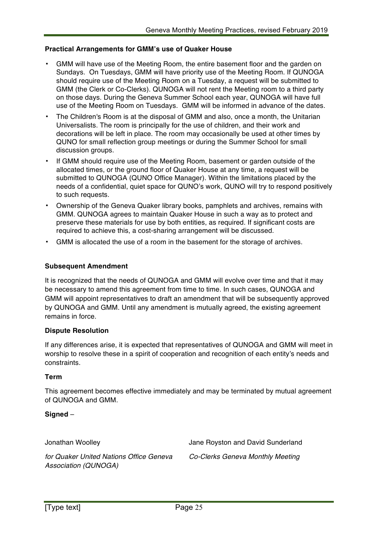#### **Practical Arrangements for GMM's use of Quaker House**

- GMM will have use of the Meeting Room, the entire basement floor and the garden on Sundays. On Tuesdays, GMM will have priority use of the Meeting Room. If QUNOGA should require use of the Meeting Room on a Tuesday, a request will be submitted to GMM (the Clerk or Co-Clerks). QUNOGA will not rent the Meeting room to a third party on those days. During the Geneva Summer School each year, QUNOGA will have full use of the Meeting Room on Tuesdays. GMM will be informed in advance of the dates.
- The Children's Room is at the disposal of GMM and also, once a month, the Unitarian Universalists. The room is principally for the use of children, and their work and decorations will be left in place. The room may occasionally be used at other times by QUNO for small reflection group meetings or during the Summer School for small discussion groups.
- If GMM should require use of the Meeting Room, basement or garden outside of the allocated times, or the ground floor of Quaker House at any time, a request will be submitted to QUNOGA (QUNO Office Manager). Within the limitations placed by the needs of a confidential, quiet space for QUNO's work, QUNO will try to respond positively to such requests.
- Ownership of the Geneva Quaker library books, pamphlets and archives, remains with GMM. QUNOGA agrees to maintain Quaker House in such a way as to protect and preserve these materials for use by both entities, as required. If significant costs are required to achieve this, a cost-sharing arrangement will be discussed.
- GMM is allocated the use of a room in the basement for the storage of archives.

#### **Subsequent Amendment**

It is recognized that the needs of QUNOGA and GMM will evolve over time and that it may be necessary to amend this agreement from time to time. In such cases, QUNOGA and GMM will appoint representatives to draft an amendment that will be subsequently approved by QUNOGA and GMM. Until any amendment is mutually agreed, the existing agreement remains in force.

#### **Dispute Resolution**

If any differences arise, it is expected that representatives of QUNOGA and GMM will meet in worship to resolve these in a spirit of cooperation and recognition of each entity's needs and constraints.

#### **Term**

This agreement becomes effective immediately and may be terminated by mutual agreement of QUNOGA and GMM.

#### **Signed** –

Jonathan Woolley

Jane Royston and David Sunderland

*for Quaker United Nations Office Geneva Association (QUNOGA)*

*Co-Clerks Geneva Monthly Meeting*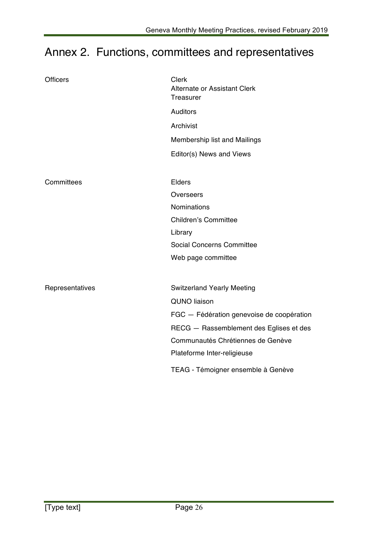# Annex 2. Functions, committees and representatives

| <b>Officers</b> | Clerk<br>Alternate or Assistant Clerk<br>Treasurer |  |
|-----------------|----------------------------------------------------|--|
|                 | <b>Auditors</b>                                    |  |
|                 | Archivist                                          |  |
|                 | Membership list and Mailings                       |  |
|                 | Editor(s) News and Views                           |  |
|                 |                                                    |  |
| Committees      | Elders                                             |  |
|                 | Overseers                                          |  |
|                 | <b>Nominations</b>                                 |  |
|                 | <b>Children's Committee</b>                        |  |
|                 | Library                                            |  |
|                 | <b>Social Concerns Committee</b>                   |  |
|                 | Web page committee                                 |  |
|                 |                                                    |  |
| Representatives | <b>Switzerland Yearly Meeting</b>                  |  |
|                 | <b>QUNO liaison</b>                                |  |
|                 | FGC - Fédération genevoise de coopération          |  |
|                 | RECG - Rassemblement des Eglises et des            |  |
|                 | Communautés Chrétiennes de Genève                  |  |
|                 | Plateforme Inter-religieuse                        |  |
|                 | TEAG - Témoigner ensemble à Genève                 |  |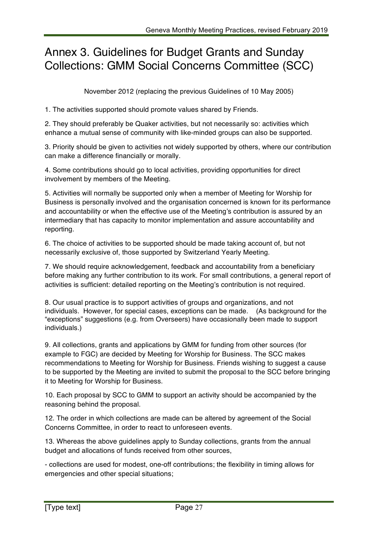## Annex 3. Guidelines for Budget Grants and Sunday Collections: GMM Social Concerns Committee (SCC)

November 2012 (replacing the previous Guidelines of 10 May 2005)

1. The activities supported should promote values shared by Friends.

2. They should preferably be Quaker activities, but not necessarily so: activities which enhance a mutual sense of community with like-minded groups can also be supported.

3. Priority should be given to activities not widely supported by others, where our contribution can make a difference financially or morally.

4. Some contributions should go to local activities, providing opportunities for direct involvement by members of the Meeting.

5. Activities will normally be supported only when a member of Meeting for Worship for Business is personally involved and the organisation concerned is known for its performance and accountability or when the effective use of the Meeting's contribution is assured by an intermediary that has capacity to monitor implementation and assure accountability and reporting.

6. The choice of activities to be supported should be made taking account of, but not necessarily exclusive of, those supported by Switzerland Yearly Meeting.

7. We should require acknowledgement, feedback and accountability from a beneficiary before making any further contribution to its work. For small contributions, a general report of activities is sufficient: detailed reporting on the Meeting's contribution is not required.

8. Our usual practice is to support activities of groups and organizations, and not individuals. However, for special cases, exceptions can be made. (As background for the "exceptions" suggestions (e.g. from Overseers) have occasionally been made to support individuals.)

9. All collections, grants and applications by GMM for funding from other sources (for example to FGC) are decided by Meeting for Worship for Business. The SCC makes recommendations to Meeting for Worship for Business. Friends wishing to suggest a cause to be supported by the Meeting are invited to submit the proposal to the SCC before bringing it to Meeting for Worship for Business.

10. Each proposal by SCC to GMM to support an activity should be accompanied by the reasoning behind the proposal.

12. The order in which collections are made can be altered by agreement of the Social Concerns Committee, in order to react to unforeseen events.

13. Whereas the above guidelines apply to Sunday collections, grants from the annual budget and allocations of funds received from other sources,

- collections are used for modest, one-off contributions; the flexibility in timing allows for emergencies and other special situations;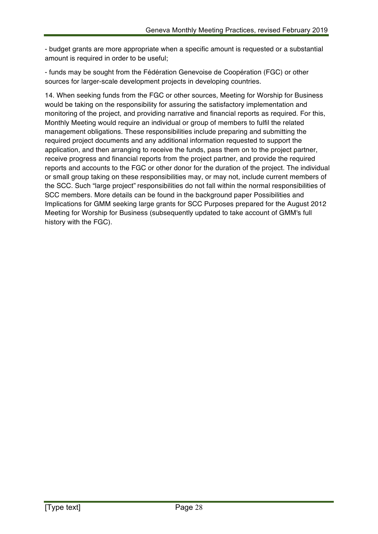- budget grants are more appropriate when a specific amount is requested or a substantial amount is required in order to be useful;

- funds may be sought from the Fédération Genevoise de Coopération (FGC) or other sources for larger-scale development projects in developing countries.

14. When seeking funds from the FGC or other sources, Meeting for Worship for Business would be taking on the responsibility for assuring the satisfactory implementation and monitoring of the project, and providing narrative and financial reports as required. For this, Monthly Meeting would require an individual or group of members to fulfil the related management obligations. These responsibilities include preparing and submitting the required project documents and any additional information requested to support the application, and then arranging to receive the funds, pass them on to the project partner, receive progress and financial reports from the project partner, and provide the required reports and accounts to the FGC or other donor for the duration of the project. The individual or small group taking on these responsibilities may, or may not, include current members of the SCC. Such "large project" responsibilities do not fall within the normal responsibilities of SCC members. More details can be found in the background paper Possibilities and Implications for GMM seeking large grants for SCC Purposes prepared for the August 2012 Meeting for Worship for Business (subsequently updated to take account of GMM's full history with the FGC).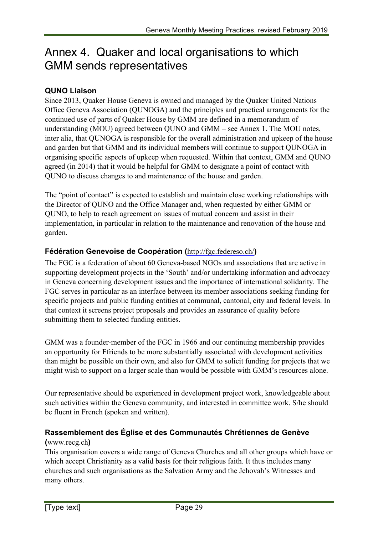# Annex 4. Quaker and local organisations to which GMM sends representatives

#### **QUNO Liaison**

Since 2013, Quaker House Geneva is owned and managed by the Quaker United Nations Office Geneva Association (QUNOGA) and the principles and practical arrangements for the continued use of parts of Quaker House by GMM are defined in a memorandum of understanding (MOU) agreed between QUNO and GMM – see Annex 1. The MOU notes, inter alia, that QUNOGA is responsible for the overall administration and upkeep of the house and garden but that GMM and its individual members will continue to support QUNOGA in organising specific aspects of upkeep when requested. Within that context, GMM and QUNO agreed (in 2014) that it would be helpful for GMM to designate a point of contact with QUNO to discuss changes to and maintenance of the house and garden.

The "point of contact" is expected to establish and maintain close working relationships with the Director of QUNO and the Office Manager and, when requested by either GMM or QUNO, to help to reach agreement on issues of mutual concern and assist in their implementation, in particular in relation to the maintenance and renovation of the house and garden.

#### **Fédération Genevoise de Coopération (**http://fgc.federeso.ch/**)**

The FGC is a federation of about 60 Geneva-based NGOs and associations that are active in supporting development projects in the 'South' and/or undertaking information and advocacy in Geneva concerning development issues and the importance of international solidarity. The FGC serves in particular as an interface between its member associations seeking funding for specific projects and public funding entities at communal, cantonal, city and federal levels. In that context it screens project proposals and provides an assurance of quality before submitting them to selected funding entities.

GMM was a founder-member of the FGC in 1966 and our continuing membership provides an opportunity for Ffriends to be more substantially associated with development activities than might be possible on their own, and also for GMM to solicit funding for projects that we might wish to support on a larger scale than would be possible with GMM's resources alone.

Our representative should be experienced in development project work, knowledgeable about such activities within the Geneva community, and interested in committee work. S/he should be fluent in French (spoken and written).

### **Rassemblement des Église et des Communautés Chrétiennes de Genève**

#### **(**www.recg.ch**)**

This organisation covers a wide range of Geneva Churches and all other groups which have or which accept Christianity as a valid basis for their religious faith. It thus includes many churches and such organisations as the Salvation Army and the Jehovah's Witnesses and many others.